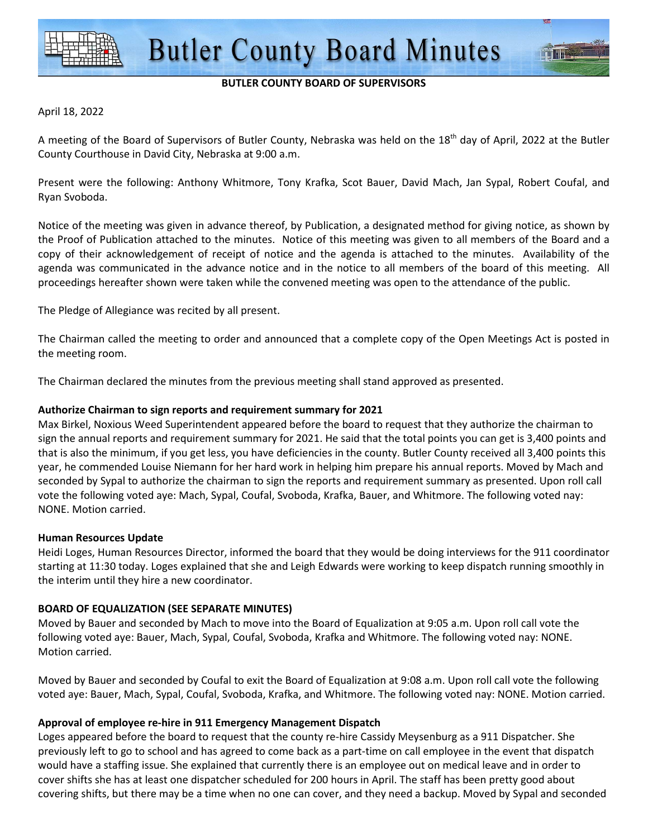

#### **BUTLER COUNTY BOARD OF SUPERVISORS**

#### April 18, 2022

A meeting of the Board of Supervisors of Butler County, Nebraska was held on the  $18<sup>th</sup>$  day of April, 2022 at the Butler County Courthouse in David City, Nebraska at 9:00 a.m.

Present were the following: Anthony Whitmore, Tony Krafka, Scot Bauer, David Mach, Jan Sypal, Robert Coufal, and Ryan Svoboda.

Notice of the meeting was given in advance thereof, by Publication, a designated method for giving notice, as shown by the Proof of Publication attached to the minutes. Notice of this meeting was given to all members of the Board and a copy of their acknowledgement of receipt of notice and the agenda is attached to the minutes. Availability of the agenda was communicated in the advance notice and in the notice to all members of the board of this meeting. All proceedings hereafter shown were taken while the convened meeting was open to the attendance of the public.

The Pledge of Allegiance was recited by all present.

The Chairman called the meeting to order and announced that a complete copy of the Open Meetings Act is posted in the meeting room.

The Chairman declared the minutes from the previous meeting shall stand approved as presented.

#### **Authorize Chairman to sign reports and requirement summary for 2021**

Max Birkel, Noxious Weed Superintendent appeared before the board to request that they authorize the chairman to sign the annual reports and requirement summary for 2021. He said that the total points you can get is 3,400 points and that is also the minimum, if you get less, you have deficiencies in the county. Butler County received all 3,400 points this year, he commended Louise Niemann for her hard work in helping him prepare his annual reports. Moved by Mach and seconded by Sypal to authorize the chairman to sign the reports and requirement summary as presented. Upon roll call vote the following voted aye: Mach, Sypal, Coufal, Svoboda, Krafka, Bauer, and Whitmore. The following voted nay: NONE. Motion carried.

#### **Human Resources Update**

Heidi Loges, Human Resources Director, informed the board that they would be doing interviews for the 911 coordinator starting at 11:30 today. Loges explained that she and Leigh Edwards were working to keep dispatch running smoothly in the interim until they hire a new coordinator.

#### **BOARD OF EQUALIZATION (SEE SEPARATE MINUTES)**

Moved by Bauer and seconded by Mach to move into the Board of Equalization at 9:05 a.m. Upon roll call vote the following voted aye: Bauer, Mach, Sypal, Coufal, Svoboda, Krafka and Whitmore. The following voted nay: NONE. Motion carried.

Moved by Bauer and seconded by Coufal to exit the Board of Equalization at 9:08 a.m. Upon roll call vote the following voted aye: Bauer, Mach, Sypal, Coufal, Svoboda, Krafka, and Whitmore. The following voted nay: NONE. Motion carried.

#### **Approval of employee re-hire in 911 Emergency Management Dispatch**

Loges appeared before the board to request that the county re-hire Cassidy Meysenburg as a 911 Dispatcher. She previously left to go to school and has agreed to come back as a part-time on call employee in the event that dispatch would have a staffing issue. She explained that currently there is an employee out on medical leave and in order to cover shifts she has at least one dispatcher scheduled for 200 hours in April. The staff has been pretty good about covering shifts, but there may be a time when no one can cover, and they need a backup. Moved by Sypal and seconded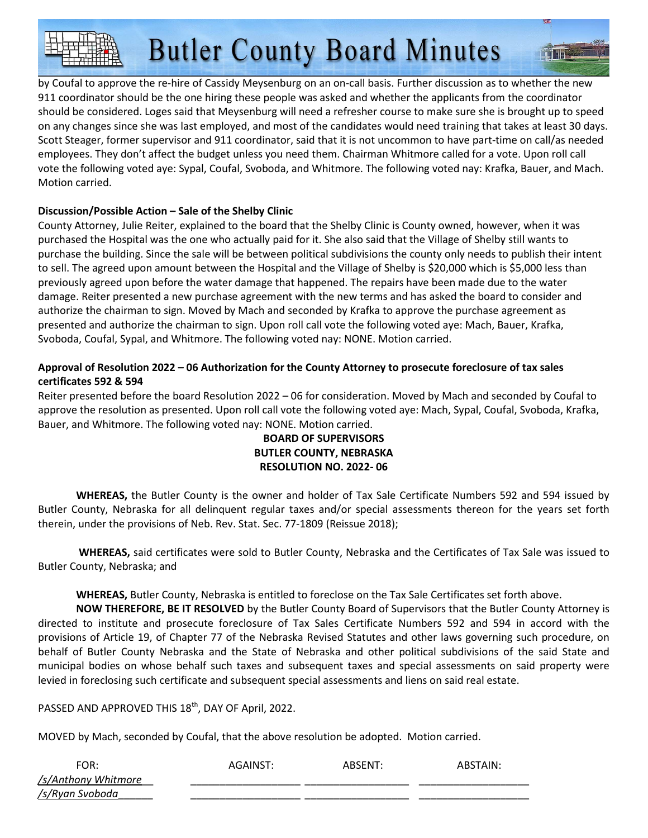by Coufal to approve the re-hire of Cassidy Meysenburg on an on-call basis. Further discussion as to whether the new 911 coordinator should be the one hiring these people was asked and whether the applicants from the coordinator should be considered. Loges said that Meysenburg will need a refresher course to make sure she is brought up to speed on any changes since she was last employed, and most of the candidates would need training that takes at least 30 days. Scott Steager, former supervisor and 911 coordinator, said that it is not uncommon to have part-time on call/as needed employees. They don't affect the budget unless you need them. Chairman Whitmore called for a vote. Upon roll call vote the following voted aye: Sypal, Coufal, Svoboda, and Whitmore. The following voted nay: Krafka, Bauer, and Mach. Motion carried.

#### **Discussion/Possible Action – Sale of the Shelby Clinic**

County Attorney, Julie Reiter, explained to the board that the Shelby Clinic is County owned, however, when it was purchased the Hospital was the one who actually paid for it. She also said that the Village of Shelby still wants to purchase the building. Since the sale will be between political subdivisions the county only needs to publish their intent to sell. The agreed upon amount between the Hospital and the Village of Shelby is \$20,000 which is \$5,000 less than previously agreed upon before the water damage that happened. The repairs have been made due to the water damage. Reiter presented a new purchase agreement with the new terms and has asked the board to consider and authorize the chairman to sign. Moved by Mach and seconded by Krafka to approve the purchase agreement as presented and authorize the chairman to sign. Upon roll call vote the following voted aye: Mach, Bauer, Krafka, Svoboda, Coufal, Sypal, and Whitmore. The following voted nay: NONE. Motion carried.

#### **Approval of Resolution 2022 – 06 Authorization for the County Attorney to prosecute foreclosure of tax sales certificates 592 & 594**

Reiter presented before the board Resolution 2022 – 06 for consideration. Moved by Mach and seconded by Coufal to approve the resolution as presented. Upon roll call vote the following voted aye: Mach, Sypal, Coufal, Svoboda, Krafka, Bauer, and Whitmore. The following voted nay: NONE. Motion carried.

#### **BOARD OF SUPERVISORS BUTLER COUNTY, NEBRASKA RESOLUTION NO. 2022- 06**

**WHEREAS,** the Butler County is the owner and holder of Tax Sale Certificate Numbers 592 and 594 issued by Butler County, Nebraska for all delinquent regular taxes and/or special assessments thereon for the years set forth therein, under the provisions of Neb. Rev. Stat. Sec. 77-1809 (Reissue 2018);

**WHEREAS,** said certificates were sold to Butler County, Nebraska and the Certificates of Tax Sale was issued to Butler County, Nebraska; and

#### **WHEREAS,** Butler County, Nebraska is entitled to foreclose on the Tax Sale Certificates set forth above.

**NOW THEREFORE, BE IT RESOLVED** by the Butler County Board of Supervisors that the Butler County Attorney is directed to institute and prosecute foreclosure of Tax Sales Certificate Numbers 592 and 594 in accord with the provisions of Article 19, of Chapter 77 of the Nebraska Revised Statutes and other laws governing such procedure, on behalf of Butler County Nebraska and the State of Nebraska and other political subdivisions of the said State and municipal bodies on whose behalf such taxes and subsequent taxes and special assessments on said property were levied in foreclosing such certificate and subsequent special assessments and liens on said real estate.

PASSED AND APPROVED THIS 18<sup>th</sup>, DAY OF April, 2022.

MOVED by Mach, seconded by Coufal, that the above resolution be adopted. Motion carried.

| FOR:                | AGAINST: | ARSFNT∙ | ABSTAIN: |
|---------------------|----------|---------|----------|
| /s/Anthony Whitmore |          |         |          |
| /s/Ryan Svoboda     |          |         |          |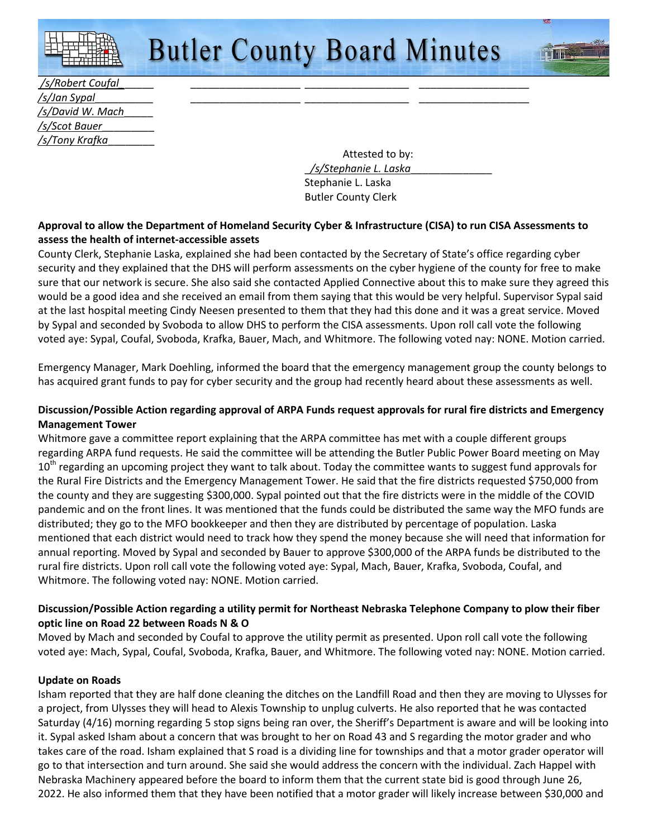| /s/Robert Coufal       |  |  |  |  |
|------------------------|--|--|--|--|
| /s/Jan Sypal           |  |  |  |  |
| /s/David W. Mach       |  |  |  |  |
| /s/Scot Bauer          |  |  |  |  |
| <u>/s/Tony Krafka_</u> |  |  |  |  |

 Attested to by: \_*/s/Stephanie L. Laska*\_\_\_\_\_\_\_\_\_\_\_\_\_\_ Stephanie L. Laska Butler County Clerk

#### **Approval to allow the Department of Homeland Security Cyber & Infrastructure (CISA) to run CISA Assessments to assess the health of internet-accessible assets**

County Clerk, Stephanie Laska, explained she had been contacted by the Secretary of State's office regarding cyber security and they explained that the DHS will perform assessments on the cyber hygiene of the county for free to make sure that our network is secure. She also said she contacted Applied Connective about this to make sure they agreed this would be a good idea and she received an email from them saying that this would be very helpful. Supervisor Sypal said at the last hospital meeting Cindy Neesen presented to them that they had this done and it was a great service. Moved by Sypal and seconded by Svoboda to allow DHS to perform the CISA assessments. Upon roll call vote the following voted aye: Sypal, Coufal, Svoboda, Krafka, Bauer, Mach, and Whitmore. The following voted nay: NONE. Motion carried.

Emergency Manager, Mark Doehling, informed the board that the emergency management group the county belongs to has acquired grant funds to pay for cyber security and the group had recently heard about these assessments as well.

#### **Discussion/Possible Action regarding approval of ARPA Funds request approvals for rural fire districts and Emergency Management Tower**

Whitmore gave a committee report explaining that the ARPA committee has met with a couple different groups regarding ARPA fund requests. He said the committee will be attending the Butler Public Power Board meeting on May 10<sup>th</sup> regarding an upcoming project they want to talk about. Today the committee wants to suggest fund approvals for the Rural Fire Districts and the Emergency Management Tower. He said that the fire districts requested \$750,000 from the county and they are suggesting \$300,000. Sypal pointed out that the fire districts were in the middle of the COVID pandemic and on the front lines. It was mentioned that the funds could be distributed the same way the MFO funds are distributed; they go to the MFO bookkeeper and then they are distributed by percentage of population. Laska mentioned that each district would need to track how they spend the money because she will need that information for annual reporting. Moved by Sypal and seconded by Bauer to approve \$300,000 of the ARPA funds be distributed to the rural fire districts. Upon roll call vote the following voted aye: Sypal, Mach, Bauer, Krafka, Svoboda, Coufal, and Whitmore. The following voted nay: NONE. Motion carried.

#### **Discussion/Possible Action regarding a utility permit for Northeast Nebraska Telephone Company to plow their fiber optic line on Road 22 between Roads N & O**

Moved by Mach and seconded by Coufal to approve the utility permit as presented. Upon roll call vote the following voted aye: Mach, Sypal, Coufal, Svoboda, Krafka, Bauer, and Whitmore. The following voted nay: NONE. Motion carried.

#### **Update on Roads**

Isham reported that they are half done cleaning the ditches on the Landfill Road and then they are moving to Ulysses for a project, from Ulysses they will head to Alexis Township to unplug culverts. He also reported that he was contacted Saturday (4/16) morning regarding 5 stop signs being ran over, the Sheriff's Department is aware and will be looking into it. Sypal asked Isham about a concern that was brought to her on Road 43 and S regarding the motor grader and who takes care of the road. Isham explained that S road is a dividing line for townships and that a motor grader operator will go to that intersection and turn around. She said she would address the concern with the individual. Zach Happel with Nebraska Machinery appeared before the board to inform them that the current state bid is good through June 26, 2022. He also informed them that they have been notified that a motor grader will likely increase between \$30,000 and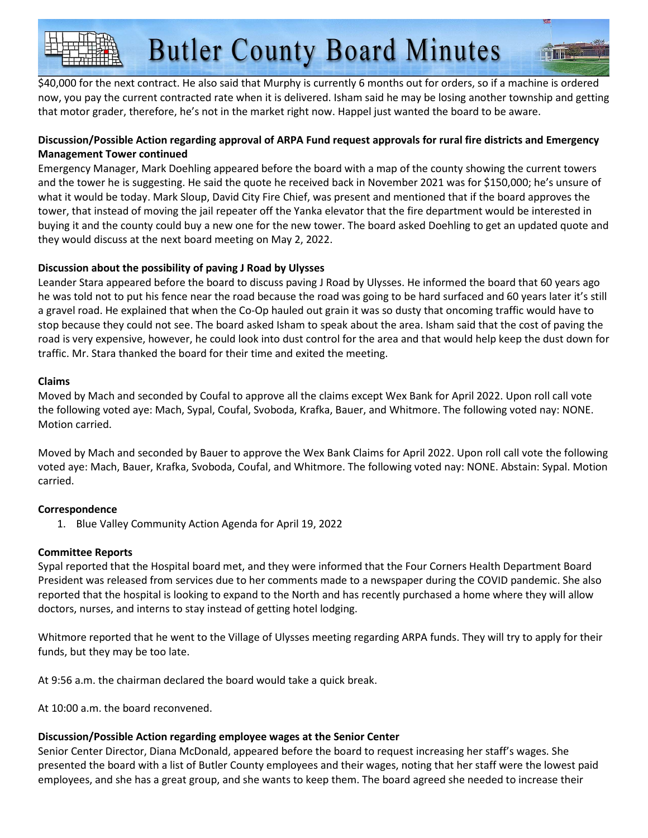\$40,000 for the next contract. He also said that Murphy is currently 6 months out for orders, so if a machine is ordered now, you pay the current contracted rate when it is delivered. Isham said he may be losing another township and getting that motor grader, therefore, he's not in the market right now. Happel just wanted the board to be aware.

#### **Discussion/Possible Action regarding approval of ARPA Fund request approvals for rural fire districts and Emergency Management Tower continued**

Emergency Manager, Mark Doehling appeared before the board with a map of the county showing the current towers and the tower he is suggesting. He said the quote he received back in November 2021 was for \$150,000; he's unsure of what it would be today. Mark Sloup, David City Fire Chief, was present and mentioned that if the board approves the tower, that instead of moving the jail repeater off the Yanka elevator that the fire department would be interested in buying it and the county could buy a new one for the new tower. The board asked Doehling to get an updated quote and they would discuss at the next board meeting on May 2, 2022.

#### **Discussion about the possibility of paving J Road by Ulysses**

Leander Stara appeared before the board to discuss paving J Road by Ulysses. He informed the board that 60 years ago he was told not to put his fence near the road because the road was going to be hard surfaced and 60 years later it's still a gravel road. He explained that when the Co-Op hauled out grain it was so dusty that oncoming traffic would have to stop because they could not see. The board asked Isham to speak about the area. Isham said that the cost of paving the road is very expensive, however, he could look into dust control for the area and that would help keep the dust down for traffic. Mr. Stara thanked the board for their time and exited the meeting.

#### **Claims**

Moved by Mach and seconded by Coufal to approve all the claims except Wex Bank for April 2022. Upon roll call vote the following voted aye: Mach, Sypal, Coufal, Svoboda, Krafka, Bauer, and Whitmore. The following voted nay: NONE. Motion carried.

Moved by Mach and seconded by Bauer to approve the Wex Bank Claims for April 2022. Upon roll call vote the following voted aye: Mach, Bauer, Krafka, Svoboda, Coufal, and Whitmore. The following voted nay: NONE. Abstain: Sypal. Motion carried.

#### **Correspondence**

1. Blue Valley Community Action Agenda for April 19, 2022

#### **Committee Reports**

Sypal reported that the Hospital board met, and they were informed that the Four Corners Health Department Board President was released from services due to her comments made to a newspaper during the COVID pandemic. She also reported that the hospital is looking to expand to the North and has recently purchased a home where they will allow doctors, nurses, and interns to stay instead of getting hotel lodging.

Whitmore reported that he went to the Village of Ulysses meeting regarding ARPA funds. They will try to apply for their funds, but they may be too late.

At 9:56 a.m. the chairman declared the board would take a quick break.

At 10:00 a.m. the board reconvened.

#### **Discussion/Possible Action regarding employee wages at the Senior Center**

Senior Center Director, Diana McDonald, appeared before the board to request increasing her staff's wages. She presented the board with a list of Butler County employees and their wages, noting that her staff were the lowest paid employees, and she has a great group, and she wants to keep them. The board agreed she needed to increase their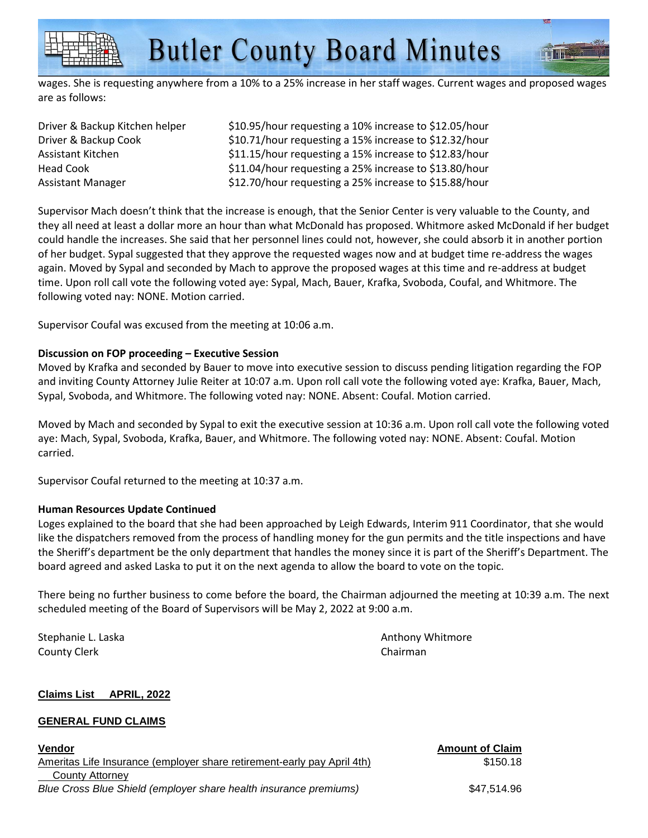wages. She is requesting anywhere from a 10% to a 25% increase in her staff wages. Current wages and proposed wages are as follows:

| Driver & Backup Kitchen helper | \$10.95/hour requesting a 10% increase to \$12.05/hour |
|--------------------------------|--------------------------------------------------------|
| Driver & Backup Cook           | \$10.71/hour requesting a 15% increase to \$12.32/hour |
| Assistant Kitchen              | \$11.15/hour requesting a 15% increase to \$12.83/hour |
| Head Cook                      | \$11.04/hour requesting a 25% increase to \$13.80/hour |
| Assistant Manager              | \$12.70/hour requesting a 25% increase to \$15.88/hour |

Supervisor Mach doesn't think that the increase is enough, that the Senior Center is very valuable to the County, and they all need at least a dollar more an hour than what McDonald has proposed. Whitmore asked McDonald if her budget could handle the increases. She said that her personnel lines could not, however, she could absorb it in another portion of her budget. Sypal suggested that they approve the requested wages now and at budget time re-address the wages again. Moved by Sypal and seconded by Mach to approve the proposed wages at this time and re-address at budget time. Upon roll call vote the following voted aye: Sypal, Mach, Bauer, Krafka, Svoboda, Coufal, and Whitmore. The following voted nay: NONE. Motion carried.

Supervisor Coufal was excused from the meeting at 10:06 a.m.

#### **Discussion on FOP proceeding – Executive Session**

Moved by Krafka and seconded by Bauer to move into executive session to discuss pending litigation regarding the FOP and inviting County Attorney Julie Reiter at 10:07 a.m. Upon roll call vote the following voted aye: Krafka, Bauer, Mach, Sypal, Svoboda, and Whitmore. The following voted nay: NONE. Absent: Coufal. Motion carried.

Moved by Mach and seconded by Sypal to exit the executive session at 10:36 a.m. Upon roll call vote the following voted aye: Mach, Sypal, Svoboda, Krafka, Bauer, and Whitmore. The following voted nay: NONE. Absent: Coufal. Motion carried.

Supervisor Coufal returned to the meeting at 10:37 a.m.

#### **Human Resources Update Continued**

Loges explained to the board that she had been approached by Leigh Edwards, Interim 911 Coordinator, that she would like the dispatchers removed from the process of handling money for the gun permits and the title inspections and have the Sheriff's department be the only department that handles the money since it is part of the Sheriff's Department. The board agreed and asked Laska to put it on the next agenda to allow the board to vote on the topic.

There being no further business to come before the board, the Chairman adjourned the meeting at 10:39 a.m. The next scheduled meeting of the Board of Supervisors will be May 2, 2022 at 9:00 a.m.

County Clerk County Clerk Chairman

Stephanie L. Laska Anthony Whitmore

#### **Claims List APRIL, 2022**

#### **GENERAL FUND CLAIMS**

**Vendor Amount of Claim** Ameritas Life Insurance (employer share retirement-early pay April 4th) \$150.18 County Attorney Blue Cross Blue Shield (employer share health insurance premiums) \$47,514.96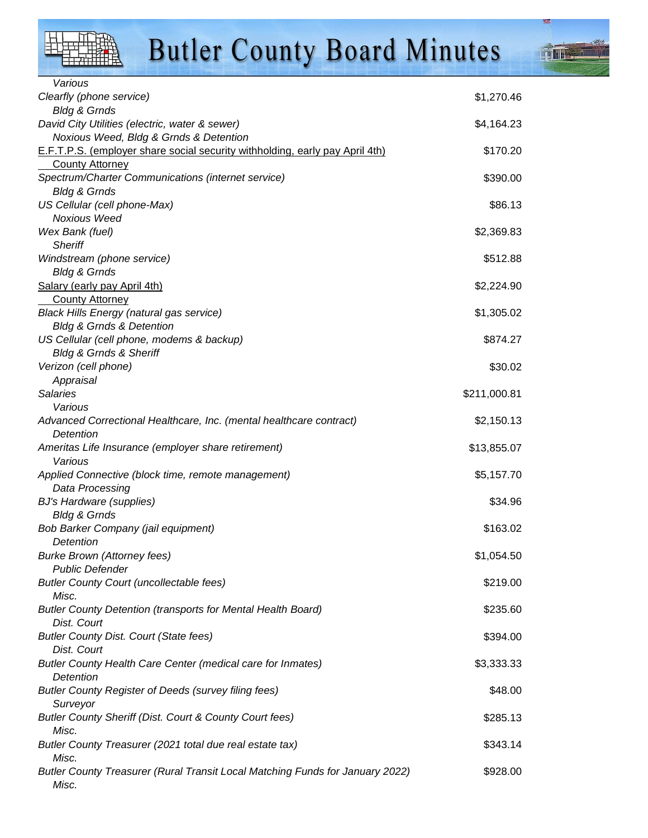

 Dist. Court **Butler County Health Detention** 

Surveyor

Misc.

Misc.

Misc.

Various

### **Butler County Board Minutes**

| Clearfly (phone service)                                                     | \$1,270.46   |
|------------------------------------------------------------------------------|--------------|
| <b>Bldg &amp; Grnds</b>                                                      |              |
| David City Utilities (electric, water & sewer)                               | \$4,164.23   |
| Noxious Weed, Bldg & Grnds & Detention                                       |              |
| E.F.T.P.S. (employer share social security withholding, early pay April 4th) | \$170.20     |
| <b>County Attorney</b>                                                       |              |
| Spectrum/Charter Communications (internet service)                           | \$390.00     |
| <b>Bldg &amp; Grnds</b>                                                      |              |
| US Cellular (cell phone-Max)                                                 | \$86.13      |
| Noxious Weed                                                                 |              |
| Wex Bank (fuel)                                                              | \$2,369.83   |
| <b>Sheriff</b>                                                               |              |
| Windstream (phone service)                                                   | \$512.88     |
| <b>Bldg &amp; Grnds</b>                                                      |              |
| Salary (early pay April 4th)                                                 | \$2,224.90   |
| <b>County Attorney</b>                                                       |              |
| <b>Black Hills Energy (natural gas service)</b>                              | \$1,305.02   |
| <b>Bldg &amp; Grnds &amp; Detention</b>                                      |              |
| US Cellular (cell phone, modems & backup)                                    | \$874.27     |
| <b>Bldg &amp; Grnds &amp; Sheriff</b>                                        |              |
| Verizon (cell phone)                                                         | \$30.02      |
| Appraisal                                                                    |              |
| <b>Salaries</b>                                                              | \$211,000.81 |
| Various                                                                      |              |
| Advanced Correctional Healthcare, Inc. (mental healthcare contract)          | \$2,150.13   |
| Detention                                                                    |              |
| Ameritas Life Insurance (employer share retirement)                          | \$13,855.07  |
| Various                                                                      |              |
| Applied Connective (block time, remote management)                           | \$5,157.70   |
| Data Processing                                                              |              |
| <b>BJ's Hardware (supplies)</b>                                              | \$34.96      |
| <b>Bldg &amp; Grnds</b>                                                      |              |
| Bob Barker Company (jail equipment)                                          | \$163.02     |
| Detention                                                                    |              |
| <b>Burke Brown (Attorney fees)</b>                                           | \$1,054.50   |
| <b>Public Defender</b>                                                       |              |
| <b>Butler County Court (uncollectable fees)</b>                              | \$219.00     |
| Misc.                                                                        |              |
| <b>Butler County Detention (transports for Mental Health Board)</b>          | \$235.60     |
| Dist. Court                                                                  |              |
| <b>Butler County Dist. Court (State fees)</b>                                | \$394.00     |
| Dist. Court                                                                  |              |
| Butler County Health Care Center (medical care for Inmates)                  | \$3,333.33   |

Butler County Register of Deeds (survey filing fees)  $$48.00$ 

Butler County Sheriff (Dist. Court & County Court fees) \$285.13

Butler County Treasurer (2021 total due real estate tax)  $$343.14$ 

Butler County Treasurer (Rural Transit Local Matching Funds for January 2022) \$928.00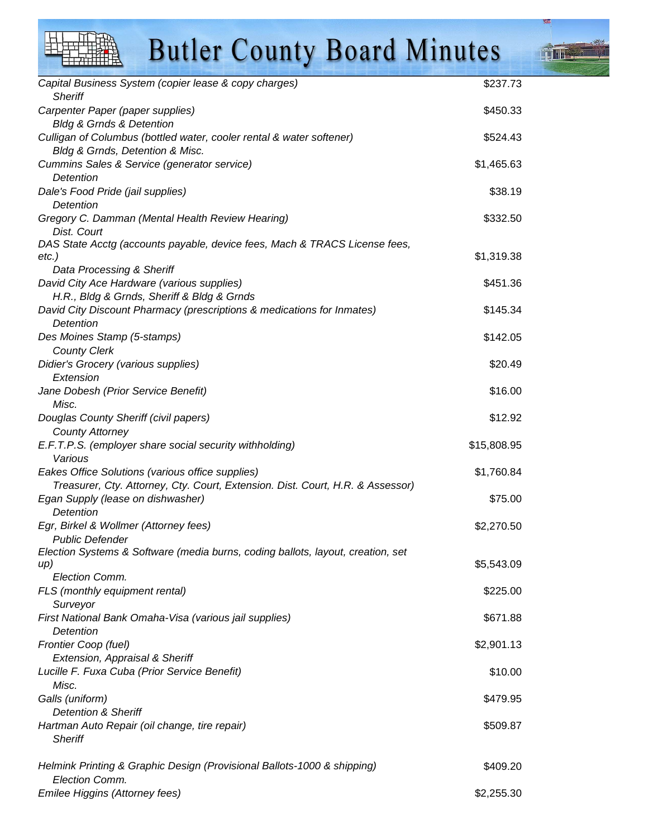| <b>Butler County Board Minutes</b>                                                                                   |             |  |
|----------------------------------------------------------------------------------------------------------------------|-------------|--|
| Capital Business System (copier lease & copy charges)<br><b>Sheriff</b>                                              | \$237.73    |  |
| Carpenter Paper (paper supplies)<br><b>Bldg &amp; Grnds &amp; Detention</b>                                          | \$450.33    |  |
| Culligan of Columbus (bottled water, cooler rental & water softener)                                                 | \$524.43    |  |
| Bldg & Grnds, Detention & Misc.                                                                                      |             |  |
| Cummins Sales & Service (generator service)<br>Detention                                                             | \$1,465.63  |  |
| Dale's Food Pride (jail supplies)                                                                                    | \$38.19     |  |
| Detention<br>Gregory C. Damman (Mental Health Review Hearing)                                                        | \$332.50    |  |
| Dist. Court                                                                                                          |             |  |
| DAS State Acctg (accounts payable, device fees, Mach & TRACS License fees,                                           |             |  |
| $etc.$ )                                                                                                             | \$1,319.38  |  |
| Data Processing & Sheriff                                                                                            |             |  |
| David City Ace Hardware (various supplies)                                                                           | \$451.36    |  |
| H.R., Bldg & Grnds, Sheriff & Bldg & Grnds<br>David City Discount Pharmacy (prescriptions & medications for Inmates) | \$145.34    |  |
| Detention                                                                                                            |             |  |
| Des Moines Stamp (5-stamps)                                                                                          | \$142.05    |  |
| <b>County Clerk</b>                                                                                                  |             |  |
| Didier's Grocery (various supplies)<br>Extension                                                                     | \$20.49     |  |
| Jane Dobesh (Prior Service Benefit)                                                                                  | \$16.00     |  |
| Misc.                                                                                                                |             |  |
| Douglas County Sheriff (civil papers)                                                                                | \$12.92     |  |
| <b>County Attorney</b>                                                                                               | \$15,808.95 |  |
| E.F.T.P.S. (employer share social security withholding)<br>Various                                                   |             |  |
| Eakes Office Solutions (various office supplies)                                                                     | \$1,760.84  |  |
| Treasurer, Cty. Attorney, Cty. Court, Extension. Dist. Court, H.R. & Assessor)                                       |             |  |
| Egan Supply (lease on dishwasher)                                                                                    | \$75.00     |  |
| Detention<br>Egr, Birkel & Wollmer (Attorney fees)                                                                   | \$2,270.50  |  |
| <b>Public Defender</b>                                                                                               |             |  |
| Election Systems & Software (media burns, coding ballots, layout, creation, set                                      |             |  |
| up)<br>Election Comm.                                                                                                | \$5,543.09  |  |
| FLS (monthly equipment rental)                                                                                       | \$225.00    |  |
| Surveyor                                                                                                             |             |  |
| First National Bank Omaha-Visa (various jail supplies)<br>Detention                                                  | \$671.88    |  |
| Frontier Coop (fuel)                                                                                                 | \$2,901.13  |  |
| Extension, Appraisal & Sheriff                                                                                       |             |  |
| Lucille F. Fuxa Cuba (Prior Service Benefit)                                                                         | \$10.00     |  |
| Misc.                                                                                                                |             |  |
| Galls (uniform)<br><b>Detention &amp; Sheriff</b>                                                                    | \$479.95    |  |
| Hartman Auto Repair (oil change, tire repair)                                                                        | \$509.87    |  |
| <b>Sheriff</b>                                                                                                       |             |  |
| Helmink Printing & Graphic Design (Provisional Ballots-1000 & shipping)                                              | \$409.20    |  |
| Election Comm.<br>Emilee Higgins (Attorney fees)                                                                     | \$2,255.30  |  |
|                                                                                                                      |             |  |

 $\blacksquare$ 

 $1.3.5$ 

HLITTA

 $\blacksquare$ 

 $\overline{1}$ 

雲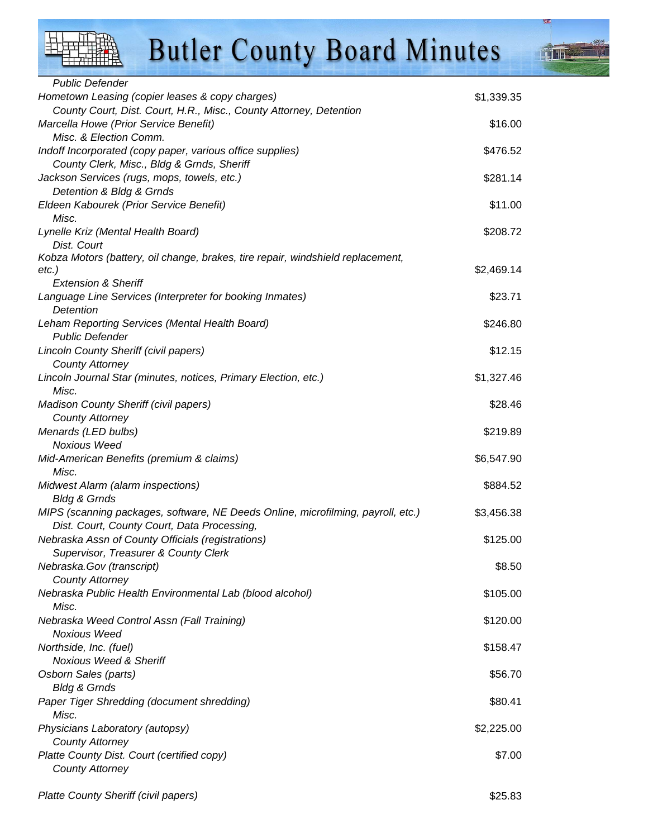| <b>Public Defender</b>                                                           |            |
|----------------------------------------------------------------------------------|------------|
| Hometown Leasing (copier leases & copy charges)                                  | \$1,339.35 |
| County Court, Dist. Court, H.R., Misc., County Attorney, Detention               |            |
| Marcella Howe (Prior Service Benefit)                                            | \$16.00    |
| Misc. & Election Comm.                                                           |            |
| Indoff Incorporated (copy paper, various office supplies)                        | \$476.52   |
| County Clerk, Misc., Bldg & Grnds, Sheriff                                       |            |
| Jackson Services (rugs, mops, towels, etc.)<br>Detention & Bldg & Grnds          | \$281.14   |
| Eldeen Kabourek (Prior Service Benefit)                                          | \$11.00    |
| Misc.                                                                            |            |
| Lynelle Kriz (Mental Health Board)                                               | \$208.72   |
| Dist. Court                                                                      |            |
| Kobza Motors (battery, oil change, brakes, tire repair, windshield replacement,  |            |
| $etc.$ )                                                                         | \$2,469.14 |
| <b>Extension &amp; Sheriff</b>                                                   |            |
| Language Line Services (Interpreter for booking Inmates)                         | \$23.71    |
| Detention                                                                        |            |
| Leham Reporting Services (Mental Health Board)                                   | \$246.80   |
| <b>Public Defender</b>                                                           |            |
| Lincoln County Sheriff (civil papers)                                            | \$12.15    |
| <b>County Attorney</b>                                                           |            |
| Lincoln Journal Star (minutes, notices, Primary Election, etc.)                  | \$1,327.46 |
| Misc.                                                                            |            |
| <b>Madison County Sheriff (civil papers)</b>                                     | \$28.46    |
| <b>County Attorney</b>                                                           |            |
| Menards (LED bulbs)                                                              | \$219.89   |
| <b>Noxious Weed</b>                                                              | \$6,547.90 |
| Mid-American Benefits (premium & claims)<br>Misc.                                |            |
| Midwest Alarm (alarm inspections)                                                | \$884.52   |
| <b>Bldg &amp; Grnds</b>                                                          |            |
| MIPS (scanning packages, software, NE Deeds Online, microfilming, payroll, etc.) | \$3,456.38 |
| Dist. Court, County Court, Data Processing,                                      |            |
| Nebraska Assn of County Officials (registrations)                                | \$125.00   |
| Supervisor, Treasurer & County Clerk                                             |            |
| Nebraska.Gov (transcript)                                                        | \$8.50     |
| <b>County Attorney</b>                                                           |            |
| Nebraska Public Health Environmental Lab (blood alcohol)                         | \$105.00   |
| Misc.                                                                            |            |
| Nebraska Weed Control Assn (Fall Training)                                       | \$120.00   |
| Noxious Weed                                                                     |            |
| Northside, Inc. (fuel)                                                           | \$158.47   |
| <b>Noxious Weed &amp; Sheriff</b>                                                |            |
| Osborn Sales (parts)                                                             | \$56.70    |
| <b>Bldg &amp; Grnds</b>                                                          |            |
| Paper Tiger Shredding (document shredding)                                       | \$80.41    |
| Misc.                                                                            |            |
| Physicians Laboratory (autopsy)                                                  | \$2,225.00 |
| <b>County Attorney</b>                                                           |            |
| Platte County Dist. Court (certified copy)                                       | \$7.00     |
| <b>County Attorney</b>                                                           |            |
|                                                                                  |            |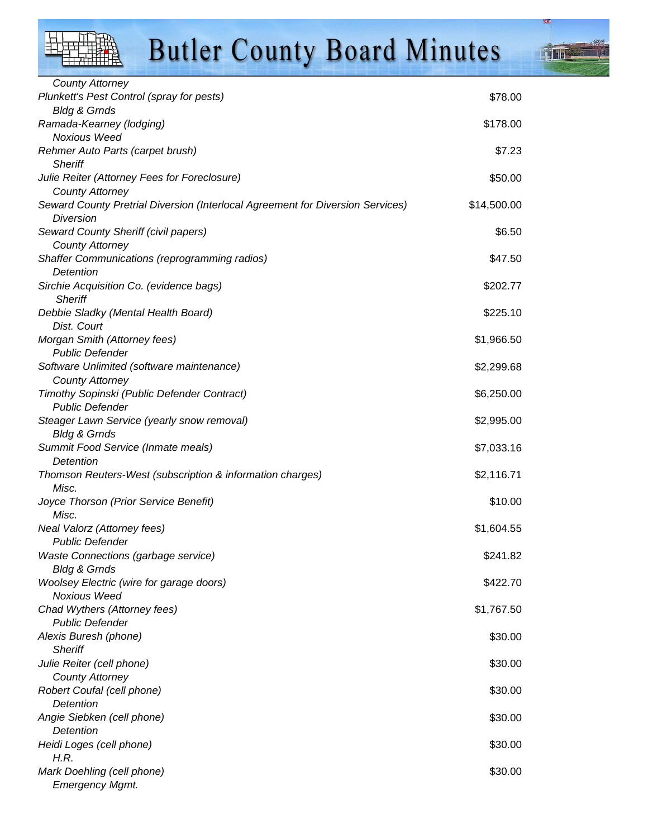上

This

| <b>County Attorney</b>                                                                      |             |
|---------------------------------------------------------------------------------------------|-------------|
| Plunkett's Pest Control (spray for pests)                                                   | \$78.00     |
| <b>Bldg &amp; Grnds</b>                                                                     |             |
| Ramada-Kearney (lodging)                                                                    | \$178.00    |
| <b>Noxious Weed</b>                                                                         |             |
| Rehmer Auto Parts (carpet brush)                                                            | \$7.23      |
| <b>Sheriff</b>                                                                              |             |
| Julie Reiter (Attorney Fees for Foreclosure)                                                | \$50.00     |
| <b>County Attorney</b>                                                                      |             |
| Seward County Pretrial Diversion (Interlocal Agreement for Diversion Services)<br>Diversion | \$14,500.00 |
| Seward County Sheriff (civil papers)                                                        | \$6.50      |
| <b>County Attorney</b>                                                                      |             |
| Shaffer Communications (reprogramming radios)                                               | \$47.50     |
| Detention                                                                                   |             |
| Sirchie Acquisition Co. (evidence bags)                                                     | \$202.77    |
| <b>Sheriff</b>                                                                              |             |
| Debbie Sladky (Mental Health Board)                                                         | \$225.10    |
| Dist. Court                                                                                 |             |
| Morgan Smith (Attorney fees)                                                                | \$1,966.50  |
| <b>Public Defender</b>                                                                      |             |
| Software Unlimited (software maintenance)                                                   | \$2,299.68  |
| <b>County Attorney</b>                                                                      |             |
| Timothy Sopinski (Public Defender Contract)                                                 | \$6,250.00  |
| <b>Public Defender</b>                                                                      |             |
| Steager Lawn Service (yearly snow removal)                                                  | \$2,995.00  |
| <b>Bldg &amp; Grnds</b>                                                                     |             |
| Summit Food Service (Inmate meals)                                                          | \$7,033.16  |
| Detention                                                                                   |             |
| Thomson Reuters-West (subscription & information charges)                                   | \$2,116.71  |
| Misc.                                                                                       |             |
| Joyce Thorson (Prior Service Benefit)                                                       | \$10.00     |
| Misc.                                                                                       |             |
| Neal Valorz (Attorney fees)                                                                 | \$1,604.55  |
| <b>Public Defender</b>                                                                      |             |
| <b>Waste Connections (garbage service)</b>                                                  | \$241.82    |
| <b>Bldg &amp; Grnds</b>                                                                     |             |
| <b>Woolsey Electric (wire for garage doors)</b>                                             | \$422.70    |
| <b>Noxious Weed</b>                                                                         |             |
| Chad Wythers (Attorney fees)                                                                | \$1,767.50  |
| <b>Public Defender</b>                                                                      |             |
| Alexis Buresh (phone)                                                                       | \$30.00     |
| <b>Sheriff</b>                                                                              |             |
| Julie Reiter (cell phone)                                                                   | \$30.00     |
| <b>County Attorney</b>                                                                      |             |
| Robert Coufal (cell phone)                                                                  | \$30.00     |
| Detention                                                                                   |             |
| Angie Siebken (cell phone)                                                                  | \$30.00     |
| Detention                                                                                   |             |
| Heidi Loges (cell phone)<br>H.R.                                                            | \$30.00     |
|                                                                                             | \$30.00     |
| Mark Doehling (cell phone)                                                                  |             |
| <b>Emergency Mgmt.</b>                                                                      |             |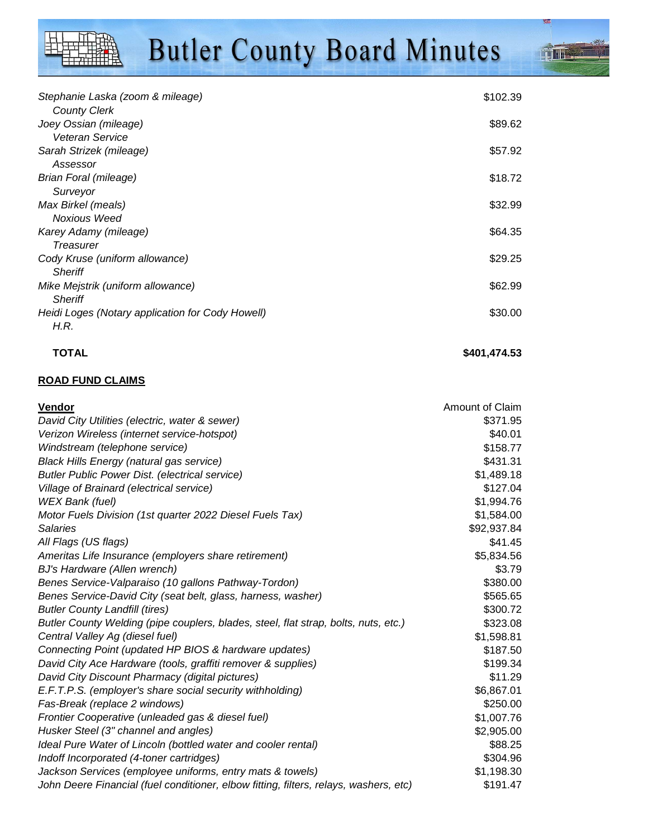**Time** 

| Stephanie Laska (zoom & mileage)                 | \$102.39 |
|--------------------------------------------------|----------|
| <b>County Clerk</b>                              |          |
| Joey Ossian (mileage)                            | \$89.62  |
| Veteran Service                                  |          |
| Sarah Strizek (mileage)                          | \$57.92  |
| Assessor                                         |          |
| Brian Foral (mileage)                            | \$18.72  |
| Surveyor                                         |          |
| Max Birkel (meals)                               | \$32.99  |
| Noxious Weed                                     |          |
| Karey Adamy (mileage)                            | \$64.35  |
| Treasurer                                        |          |
| Cody Kruse (uniform allowance)                   | \$29.25  |
| <b>Sheriff</b>                                   |          |
| Mike Mejstrik (uniform allowance)                | \$62.99  |
| <b>Sheriff</b>                                   |          |
| Heidi Loges (Notary application for Cody Howell) | \$30.00  |
| H.R.                                             |          |

#### **TOTAL** \$401,474.53

#### **ROAD FUND CLAIMS**

| Vendor                                                                                | Amount of Claim |
|---------------------------------------------------------------------------------------|-----------------|
| David City Utilities (electric, water & sewer)                                        | \$371.95        |
| Verizon Wireless (internet service-hotspot)                                           | \$40.01         |
| Windstream (telephone service)                                                        | \$158.77        |
| <b>Black Hills Energy (natural gas service)</b>                                       | \$431.31        |
| <b>Butler Public Power Dist. (electrical service)</b>                                 | \$1,489.18      |
| Village of Brainard (electrical service)                                              | \$127.04        |
| WEX Bank (fuel)                                                                       | \$1,994.76      |
| Motor Fuels Division (1st quarter 2022 Diesel Fuels Tax)                              | \$1,584.00      |
| Salaries                                                                              | \$92,937.84     |
| All Flags (US flags)                                                                  | \$41.45         |
| Ameritas Life Insurance (employers share retirement)                                  | \$5,834.56      |
| BJ's Hardware (Allen wrench)                                                          | \$3.79          |
| Benes Service-Valparaiso (10 gallons Pathway-Tordon)                                  | \$380.00        |
| Benes Service-David City (seat belt, glass, harness, washer)                          | \$565.65        |
| <b>Butler County Landfill (tires)</b>                                                 | \$300.72        |
| Butler County Welding (pipe couplers, blades, steel, flat strap, bolts, nuts, etc.)   | \$323.08        |
| Central Valley Ag (diesel fuel)                                                       | \$1,598.81      |
| Connecting Point (updated HP BIOS & hardware updates)                                 | \$187.50        |
| David City Ace Hardware (tools, graffiti remover & supplies)                          | \$199.34        |
| David City Discount Pharmacy (digital pictures)                                       | \$11.29         |
| E.F.T.P.S. (employer's share social security withholding)                             | \$6,867.01      |
| Fas-Break (replace 2 windows)                                                         | \$250.00        |
| Frontier Cooperative (unleaded gas & diesel fuel)                                     | \$1,007.76      |
| Husker Steel (3" channel and angles)                                                  | \$2,905.00      |
| Ideal Pure Water of Lincoln (bottled water and cooler rental)                         | \$88.25         |
| Indoff Incorporated (4-toner cartridges)                                              | \$304.96        |
| Jackson Services (employee uniforms, entry mats & towels)                             | \$1,198.30      |
| John Deere Financial (fuel conditioner, elbow fitting, filters, relays, washers, etc) | \$191.47        |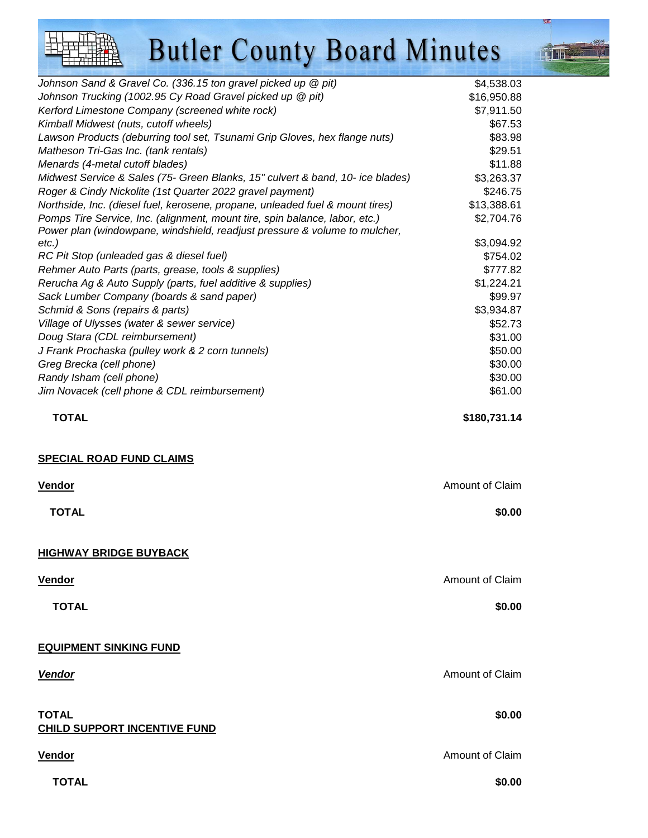Johnson Sand & Gravel Co. (336.15 ton gravel picked up @ pit) \$4,538.03 Johnson Trucking (1002.95 Cy Road Gravel picked up @ pit) \$16,950.88 Kerford Limestone Company (screened white rock) \$7,911.50 Kimball Midwest (nuts, cutoff wheels)  $$67.53$ Lawson Products (deburring tool set, Tsunami Grip Gloves, hex flange nuts)  $$83.98$ Matheson Tri-Gas Inc. (tank rentals)  $\blacksquare$ Menards (4-metal cutoff blades) \$11.88 Midwest Service & Sales (75- Green Blanks, 15" culvert & band, 10- ice blades) \$3,263.37 Roger & Cindy Nickolite (1st Quarter 2022 gravel payment)  $$246.75$ Northside, Inc. (diesel fuel, kerosene, propane, unleaded fuel & mount tires) \$13,388.61 Pomps Tire Service, Inc. (alignment, mount tire, spin balance, labor, etc.)  $$2,704.76$ Power plan (windowpane, windshield, readjust pressure & volume to mulcher, etc.) \$3,094.92 RC Pit Stop (unleaded gas & diesel fuel) \$754.02 Rehmer Auto Parts (parts, grease, tools & supplies)  $$777.82$ Rerucha Ag & Auto Supply (parts, fuel additive & supplies)  $$1,224.21$ Sack Lumber Company (boards & sand paper) \$99.97 Schmid & Sons (repairs & parts) \$3,934.87 Village of Ulysses (water & sewer service)  $$52.73$ Doug Stara (CDL reimbursement) \$31.00 J Frank Prochaska (pulley work & 2 corn tunnels)  $$50.00$ Greg Brecka (cell phone)  $$30.00$ Randy Isham (cell phone)  $$30.00$ Jim Novacek (cell phone & CDL reimbursement) \$61.00  **TOTAL \$180,731.14 SPECIAL ROAD FUND CLAIMS Vendor** Amount of Claim  **TOTAL \$0.00 HIGHWAY BRIDGE BUYBACK Vendor** Amount of Claim  **TOTAL \$0.00 EQUIPMENT SINKING FUND Vendor** Amount of Claim **TOTAL \$0.00 CHILD SUPPORT INCENTIVE FUND Vendor** Amount of Claim  **TOTAL \$0.00**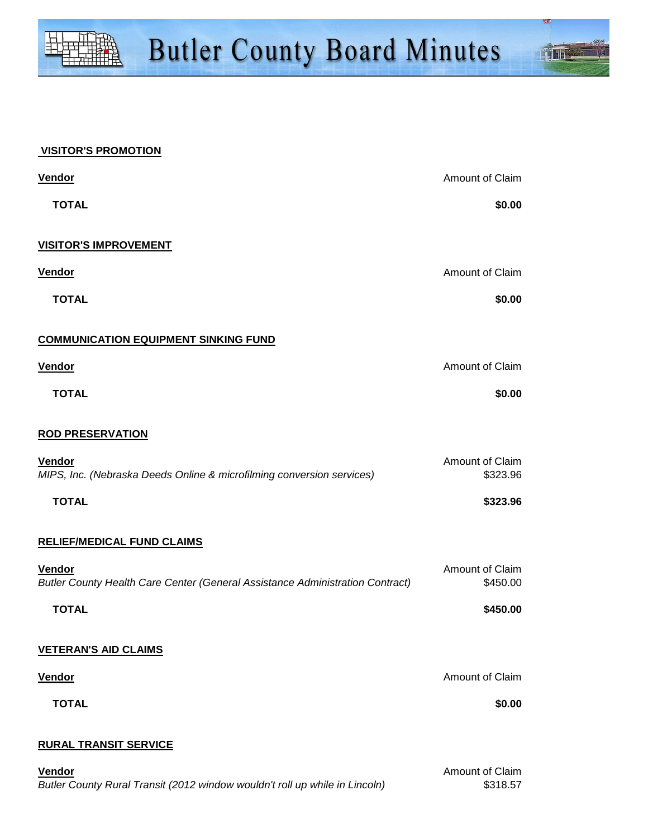

#### **VISITOR'S PROMOTION**

| <b>Vendor</b>                                                                           | Amount of Claim             |
|-----------------------------------------------------------------------------------------|-----------------------------|
| <b>TOTAL</b>                                                                            | \$0.00                      |
| <b>VISITOR'S IMPROVEMENT</b>                                                            |                             |
| <b>Vendor</b>                                                                           | Amount of Claim             |
| <b>TOTAL</b>                                                                            | \$0.00                      |
| <b>COMMUNICATION EQUIPMENT SINKING FUND</b>                                             |                             |
| <b>Vendor</b>                                                                           | Amount of Claim             |
| <b>TOTAL</b>                                                                            | \$0.00                      |
| <b>ROD PRESERVATION</b>                                                                 |                             |
| Vendor<br>MIPS, Inc. (Nebraska Deeds Online & microfilming conversion services)         | Amount of Claim<br>\$323.96 |
| <b>TOTAL</b>                                                                            | \$323.96                    |
| <b>RELIEF/MEDICAL FUND CLAIMS</b>                                                       |                             |
| Vendor<br>Butler County Health Care Center (General Assistance Administration Contract) | Amount of Claim<br>\$450.00 |
| <b>TOTAL</b>                                                                            | \$450.00                    |
| <b>VETERAN'S AID CLAIMS</b>                                                             |                             |
| <b>Vendor</b>                                                                           | Amount of Claim             |
| <b>TOTAL</b>                                                                            | \$0.00                      |
| <b>RURAL TRANSIT SERVICE</b>                                                            |                             |
| <b>Vendor</b>                                                                           | Amount of Claim             |

Butler County Rural Transit (2012 window wouldn't roll up while in Lincoln) \$318.57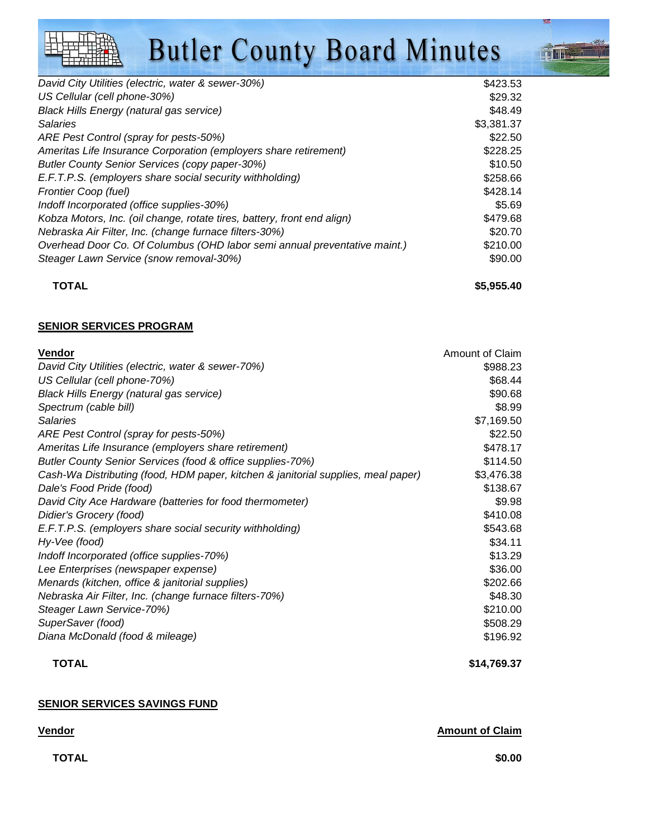| David City Utilities (electric, water & sewer-30%)                        | \$423.53   |
|---------------------------------------------------------------------------|------------|
| US Cellular (cell phone-30%)                                              | \$29.32    |
| <b>Black Hills Energy (natural gas service)</b>                           | \$48.49    |
| <b>Salaries</b>                                                           | \$3,381.37 |
| ARE Pest Control (spray for pests-50%)                                    | \$22.50    |
| Ameritas Life Insurance Corporation (employers share retirement)          | \$228.25   |
| <b>Butler County Senior Services (copy paper-30%)</b>                     | \$10.50    |
| E.F.T.P.S. (employers share social security withholding)                  | \$258.66   |
| Frontier Coop (fuel)                                                      | \$428.14   |
| Indoff Incorporated (office supplies-30%)                                 | \$5.69     |
| Kobza Motors, Inc. (oil change, rotate tires, battery, front end align)   | \$479.68   |
| Nebraska Air Filter, Inc. (change furnace filters-30%)                    | \$20.70    |
| Overhead Door Co. Of Columbus (OHD labor semi annual preventative maint.) | \$210.00   |
| Steager Lawn Service (snow removal-30%)                                   | \$90.00    |
|                                                                           |            |

**TOTAL \$5,955.40**

**Time** 

#### **SENIOR SERVICES PROGRAM**

| <b>Vendor</b>                                                                     | Amount of Claim |
|-----------------------------------------------------------------------------------|-----------------|
| David City Utilities (electric, water & sewer-70%)                                | \$988.23        |
| US Cellular (cell phone-70%)                                                      | \$68.44         |
| <b>Black Hills Energy (natural gas service)</b>                                   | \$90.68         |
| Spectrum (cable bill)                                                             | \$8.99          |
| <b>Salaries</b>                                                                   | \$7,169.50      |
| ARE Pest Control (spray for pests-50%)                                            | \$22.50         |
| Ameritas Life Insurance (employers share retirement)                              | \$478.17        |
| Butler County Senior Services (food & office supplies-70%)                        | \$114.50        |
| Cash-Wa Distributing (food, HDM paper, kitchen & janitorial supplies, meal paper) | \$3,476.38      |
| Dale's Food Pride (food)                                                          | \$138.67        |
| David City Ace Hardware (batteries for food thermometer)                          | \$9.98          |
| Didier's Grocery (food)                                                           | \$410.08        |
| E.F.T.P.S. (employers share social security withholding)                          | \$543.68        |
| Hy-Vee (food)                                                                     | \$34.11         |
| Indoff Incorporated (office supplies-70%)                                         | \$13.29         |
| Lee Enterprises (newspaper expense)                                               | \$36.00         |
| Menards (kitchen, office & janitorial supplies)                                   | \$202.66        |
| Nebraska Air Filter, Inc. (change furnace filters-70%)                            | \$48.30         |
| Steager Lawn Service-70%)                                                         | \$210.00        |
| SuperSaver (food)                                                                 | \$508.29        |
| Diana McDonald (food & mileage)                                                   | \$196.92        |
|                                                                                   |                 |

### **TOTAL** \$14,769.37

#### **SENIOR SERVICES SAVINGS FUND**

**Vendor Amount of Claim**

 **TOTAL \$0.00**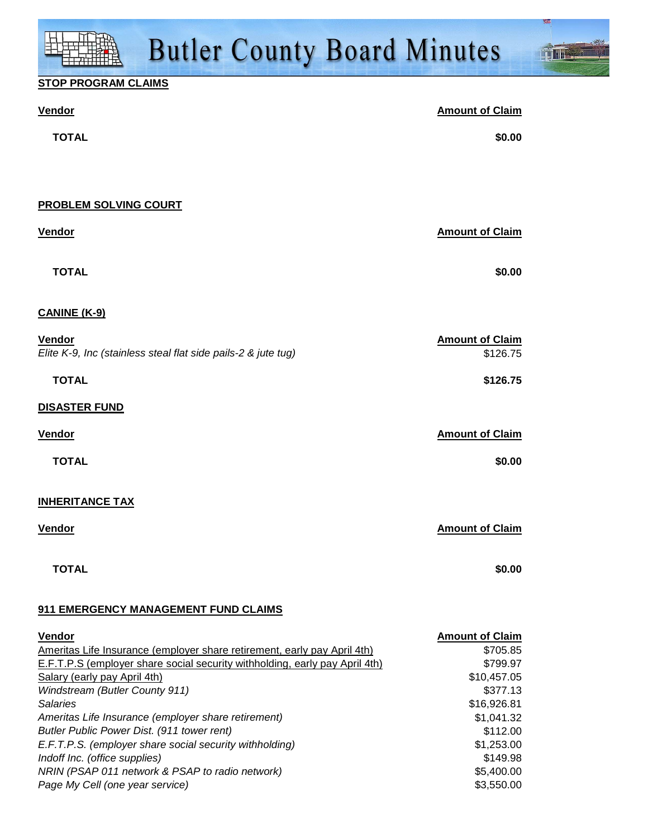### **STOP PROGRAM CLAIMS**

| <b>Vendor</b>                                                                                               | <b>Amount of Claim</b>  |
|-------------------------------------------------------------------------------------------------------------|-------------------------|
| <b>TOTAL</b>                                                                                                | \$0.00                  |
|                                                                                                             |                         |
|                                                                                                             |                         |
| PROBLEM SOLVING COURT                                                                                       |                         |
| Vendor                                                                                                      | <b>Amount of Claim</b>  |
|                                                                                                             |                         |
| <b>TOTAL</b>                                                                                                | \$0.00                  |
| <b>CANINE (K-9)</b>                                                                                         |                         |
| Vendor                                                                                                      | <b>Amount of Claim</b>  |
| Elite K-9, Inc (stainless steal flat side pails-2 & jute tug)                                               | \$126.75                |
| <b>TOTAL</b>                                                                                                | \$126.75                |
| <b>DISASTER FUND</b>                                                                                        |                         |
| <b>Vendor</b>                                                                                               | <b>Amount of Claim</b>  |
| <b>TOTAL</b>                                                                                                | \$0.00                  |
|                                                                                                             |                         |
| <b>INHERITANCE TAX</b>                                                                                      |                         |
| <b>Vendor</b>                                                                                               | <b>Amount of Claim</b>  |
| <b>TOTAL</b>                                                                                                | \$0.00                  |
|                                                                                                             |                         |
| 911 EMERGENCY MANAGEMENT FUND CLAIMS                                                                        |                         |
| <b>Vendor</b>                                                                                               | <b>Amount of Claim</b>  |
| Ameritas Life Insurance (employer share retirement, early pay April 4th)                                    | \$705.85                |
| E.F.T.P.S (employer share social security withholding, early pay April 4th)<br>Salary (early pay April 4th) | \$799.97<br>\$10,457.05 |
| Windstream (Butler County 911)                                                                              | \$377.13                |

Salaries \$16,926.81 Ameritas Life Insurance (employer share retirement)  $$1,041.32$ Butler Public Power Dist. (911 tower rent) \$112.00 E.F.T.P.S. (employer share social security withholding)  $$1,253.00$ Indoff Inc. (office supplies)  $$149.98$ NRIN (PSAP 011 network & PSAP to radio network)  $$5,400.00$ Page My Cell (one year service)  $$3,550.00$